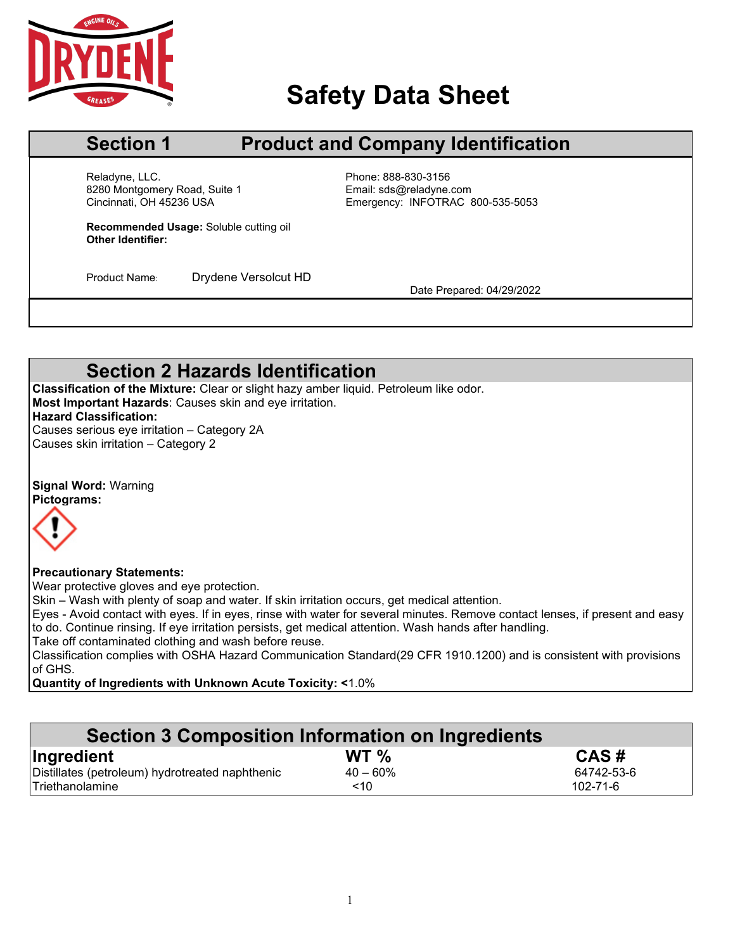

# **Safety Data Sheet**

# **Section 1 Product and Company Identification**

Reladyne, LLC.<br>
8280 Montgomery Road, Suite 1 entitled by Email: sds@reladyne.com 8280 Montgomery Road, Suite 1<br>Cincinnati, OH 45236 USA

Cincinnati, OH 45236 USA Emergency: INFOTRAC 800-535-5053

**Recommended Usage:** Soluble cutting oil **Other Identifier:**

Product Name: Drydene Versolcut HD<br>Date Prepared: 04/29/2022

# **Section 2 Hazards Identification**

**Classification of the Mixture:** Clear or slight hazy amber liquid. Petroleum like odor. **Most Important Hazards**: Causes skin and eye irritation. **Hazard Classification:** Causes serious eye irritation – Category 2A

Causes skin irritation – Category 2

**Signal Word:** Warning **Pictograms:**



### **Precautionary Statements:**

Wear protective gloves and eye protection.

Skin – Wash with plenty of soap and water. If skin irritation occurs, get medical attention.

Eyes - Avoid contact with eyes. If in eyes, rinse with water for several minutes. Remove contact lenses, if present and easy to do. Continue rinsing. If eye irritation persists, get medical attention. Wash hands after handling.

Take off contaminated clothing and wash before reuse.

Classification complies with OSHA Hazard Communication Standard(29 CFR 1910.1200) and is consistent with provisions of GHS.

**Quantity of Ingredients with Unknown Acute Toxicity: <**1.0%

| Section 3 Composition Information on Ingredients |             |                |  |
|--------------------------------------------------|-------------|----------------|--|
| Ingredient                                       | WT $\%$     | CAS#           |  |
| Distillates (petroleum) hydrotreated naphthenic  | $40 - 60\%$ | 64742-53-6     |  |
| Triethanolamine                                  | ~10         | $102 - 71 - 6$ |  |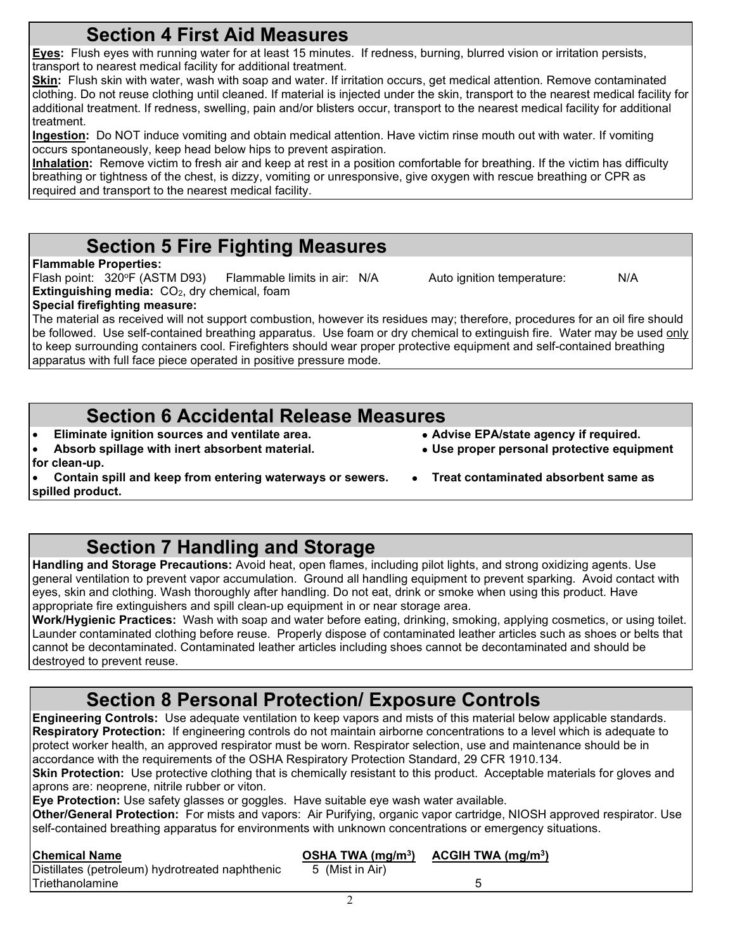**Eyes:** Flush eyes with running water for at least 15 minutes. If redness, burning, blurred vision or irritation persists, transport to nearest medical facility for additional treatment.

**Skin:** Flush skin with water, wash with soap and water. If irritation occurs, get medical attention. Remove contaminated clothing. Do not reuse clothing until cleaned. If material is injected under the skin, transport to the nearest medical facility for additional treatment. If redness, swelling, pain and/or blisters occur, transport to the nearest medical facility for additional treatment.

**Ingestion:** Do NOT induce vomiting and obtain medical attention. Have victim rinse mouth out with water. If vomiting occurs spontaneously, keep head below hips to prevent aspiration.

**Inhalation:** Remove victim to fresh air and keep at rest in a position comfortable for breathing. If the victim has difficulty breathing or tightness of the chest, is dizzy, vomiting or unresponsive, give oxygen with rescue breathing or CPR as required and transport to the nearest medical facility.

# **Section 5 Fire Fighting Measures**

## **Flammable Properties:**

Flash point: 320°F (ASTM D93) Flammable limits in air: N/A Auto ignition temperature: N/A **Extinguishing media:** CO<sub>2</sub>, dry chemical, foam

## **Special firefighting measure:**

The material as received will not support combustion, however its residues may; therefore, procedures for an oil fire should be followed. Use self-contained breathing apparatus. Use foam or dry chemical to extinguish fire. Water may be used only to keep surrounding containers cool. Firefighters should wear proper protective equipment and self-contained breathing apparatus with full face piece operated in positive pressure mode.

## **Section 6 Accidental Release Measures**

- **Eliminate ignition sources and ventilate area. Advise EPA/state agency if required.**
- **Absorb spillage with inert absorbent material. Use proper personal protective equipment**
- 
- 
- **for clean-up.**
- **Contain spill and keep from entering waterways or sewers. Treat contaminated absorbent same as spilled product.**
	- **Section 7 Handling and Storage**

**Handling and Storage Precautions:** Avoid heat, open flames, including pilot lights, and strong oxidizing agents. Use general ventilation to prevent vapor accumulation. Ground all handling equipment to prevent sparking. Avoid contact with eyes, skin and clothing. Wash thoroughly after handling. Do not eat, drink or smoke when using this product. Have appropriate fire extinguishers and spill clean-up equipment in or near storage area.

**Work/Hygienic Practices:** Wash with soap and water before eating, drinking, smoking, applying cosmetics, or using toilet. Launder contaminated clothing before reuse. Properly dispose of contaminated leather articles such as shoes or belts that cannot be decontaminated. Contaminated leather articles including shoes cannot be decontaminated and should be destroyed to prevent reuse.

# **Section 8 Personal Protection/ Exposure Controls**

**Engineering Controls:** Use adequate ventilation to keep vapors and mists of this material below applicable standards. **Respiratory Protection:** If engineering controls do not maintain airborne concentrations to a level which is adequate to protect worker health, an approved respirator must be worn. Respirator selection, use and maintenance should be in accordance with the requirements of the OSHA Respiratory Protection Standard, 29 CFR 1910.134.

**Skin Protection:** Use protective clothing that is chemically resistant to this product. Acceptable materials for gloves and aprons are: neoprene, nitrile rubber or viton.

**Eye Protection:** Use safety glasses or goggles. Have suitable eye wash water available.

**Other/General Protection:** For mists and vapors: Air Purifying, organic vapor cartridge, NIOSH approved respirator. Use self-contained breathing apparatus for environments with unknown concentrations or emergency situations.

| <b>Chemical Name</b>                            | OSHA TWA $(mg/m3)$ | ACGIH TWA (mg/m $3$ ) |  |
|-------------------------------------------------|--------------------|-----------------------|--|
| Distillates (petroleum) hydrotreated naphthenic | 5 (Mist in Air)    |                       |  |
| Triethanolamine                                 |                    |                       |  |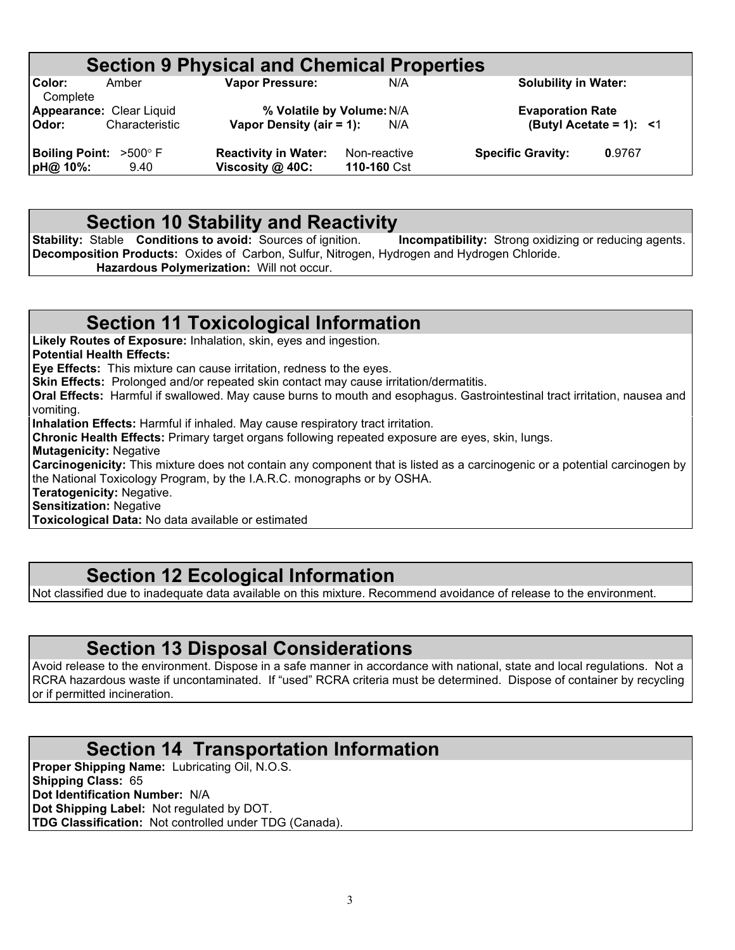# **Section 9 Physical and Chemical Properties**<br>N/A<br>N/A

**Color:** Amber **Vapor Pressure:** N/A **Solubility in Water: Complete** 

**Appearance:** Clear Liquid **% Volatile by Volume:**N/A **Evaporation Rate Vapor Density (air = 1):** 

**Boiling Point:**  $>500^{\circ}$  F **Reactivity in Water:** Non-reactive **Specific Gravity: 0.9767**<br> **pH@ 10%:** 9.40 **Viscosity @ 40C:** 110-160 Cst

**9.40 Viscosity @ 40C:** 

**Section 10 Stability and Reactivity**<br>Stable Conditions to avoid: Sources of ignition. Incompatibility: Strong oxidizing or reducing agents. **Stability: Stable <b>Conditions to avoid:** Sources of ignition. **Decomposition Products:** Oxides of Carbon, Sulfur, Nitrogen, Hydrogen and Hydrogen Chloride. **Hazardous Polymerization:** Will not occur.

## **Section 11 Toxicological Information**

**Likely Routes of Exposure:** Inhalation, skin, eyes and ingestion.

**Potential Health Effects:**

**Eye Effects:** This mixture can cause irritation, redness to the eyes.

**Skin Effects:** Prolonged and/or repeated skin contact may cause irritation/dermatitis.

**Oral Effects:** Harmful if swallowed. May cause burns to mouth and esophagus. Gastrointestinal tract irritation, nausea and vomiting.

**Inhalation Effects:** Harmful if inhaled. May cause respiratory tract irritation.

**Chronic Health Effects:** Primary target organs following repeated exposure are eyes, skin, lungs.

**Mutagenicity:** Negative

**Carcinogenicity:** This mixture does not contain any component that is listed as a carcinogenic or a potential carcinogen by the National Toxicology Program, by the I.A.R.C. monographs or by OSHA.

**Teratogenicity:** Negative.

**Sensitization:** Negative

**Toxicological Data:** No data available or estimated

## **Section 12 Ecological Information**

Not classified due to inadequate data available on this mixture. Recommend avoidance of release to the environment.

## **Section 13 Disposal Considerations**

Avoid release to the environment. Dispose in a safe manner in accordance with national, state and local regulations. Not a RCRA hazardous waste if uncontaminated. If "used" RCRA criteria must be determined. Dispose of container by recycling or if permitted incineration.

## **Section 14 Transportation Information**

**Proper Shipping Name:** Lubricating Oil, N.O.S. **Shipping Class:** 65 **Dot Identification Number:** N/A **Dot Shipping Label:** Not regulated by DOT. **TDG Classification:** Not controlled under TDG (Canada).